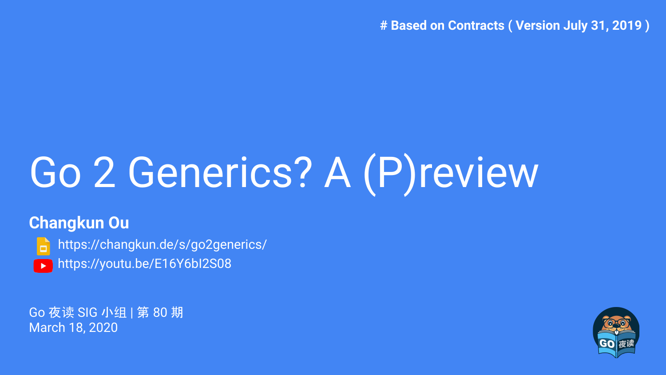**# Based on Contracts ( Version July 31, 2019 )**

# Go 2 Generics? A (P)review

## **Changkun Ou**

<https://changkun.de/s/go2generics/> ▶ <https://youtu.be/E16Y6bI2S08>

Go 夜读 SIG 小组 | 第 80 期 March 18, 2020

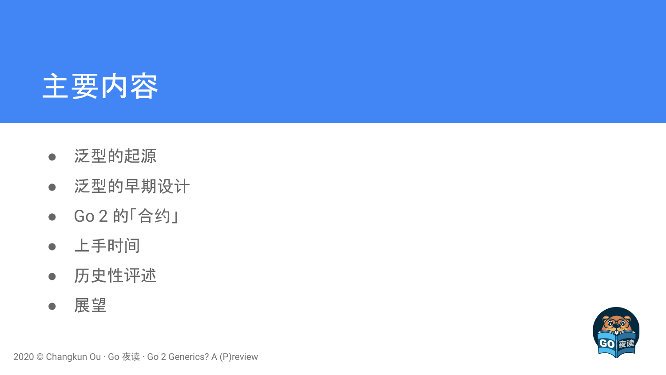

- 泛型的起源
- 泛型的早期设计
- Go 2 的「合约」
- 上手时间
- 历史性评述
- 展望

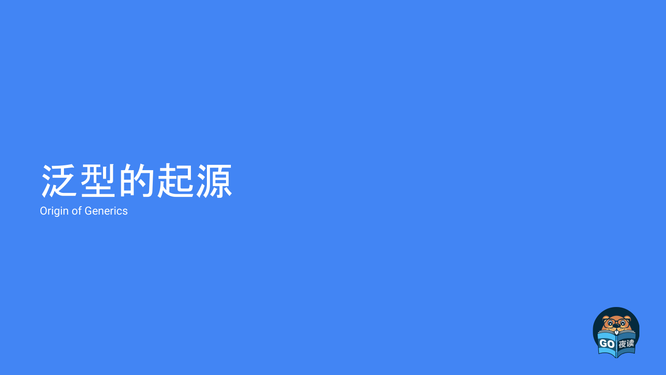

Origin of Generics

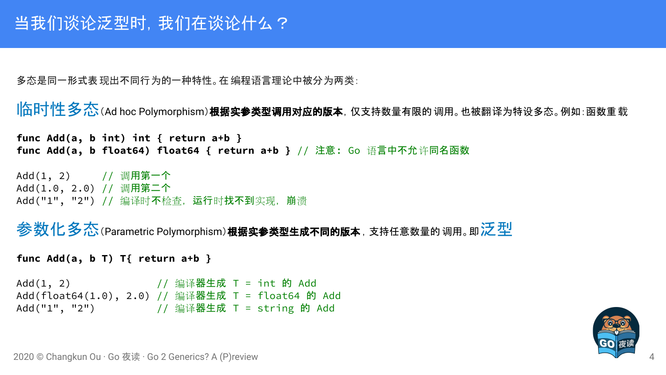多态是同一形式表现出不同行为的一种特性。在编程语言理论中被分为两类:

```
\|\hat{\mathbf{h}}\| 个性 \hat{\mathbf{\mathcal{S}}} (Ad hoc Polymorphism) 根据实参类型调用对应的版本, 仅支持数量有限的 调用。也被翻译为特设多态。例如:函数重 载
```

```
func Add(a, b int) int { return a+b }
func Add(a, b float64) float64 { return a+b } // 注意: Go 语言中不允许同名函数
```

```
Add(1, 2) // 调用第一个
Add(1.0, 2.0) // 调用第二个
Add("1", "2") // 编译时不检查, 运行时找不到实现, 崩溃
```

```
参数化多态(Parametric Polymorphism)根据实参类型生成不同的版本,支持任意数量的调用。即泛型
```

```
func Add(a, b T) T{ return a+b }
Add(1, 2) // 编译器生成 T = int 的 Add
Add(float64(1.0), 2.0) // 编译器生成 T = float64 的 Add
Add("1", "2") // 编译器生成 T = string 的 Add
```
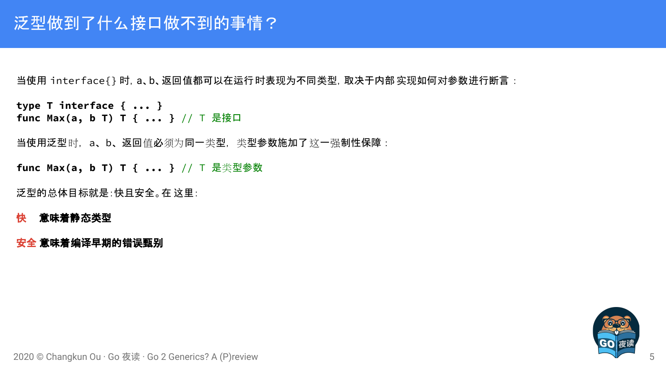当使用 interface{} 时,a、b、返回值都可以在运行时表现为不同类型,取决于内部实现如何对参数进行断言:

```
type T interface { ... }
func Max(a, b T) T { ... } // T 是接口
```
当使用泛型时,a、b、返回值必须为同一类型,类型参数施加了这一强制性保障:

**func Max(a, b T) T { ... }** // T 是类型参数

泛型的总体目标就是:快且安全。在 这里:

#### 快意味着静态类型

#### 安全 意味着编译早期的错误甄别

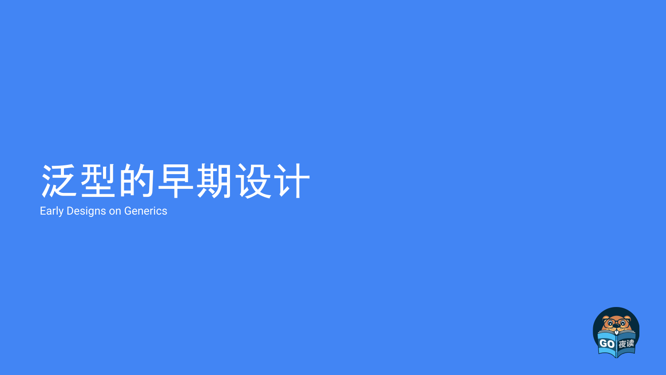## 泛型的早期设计

Early Designs on Generics

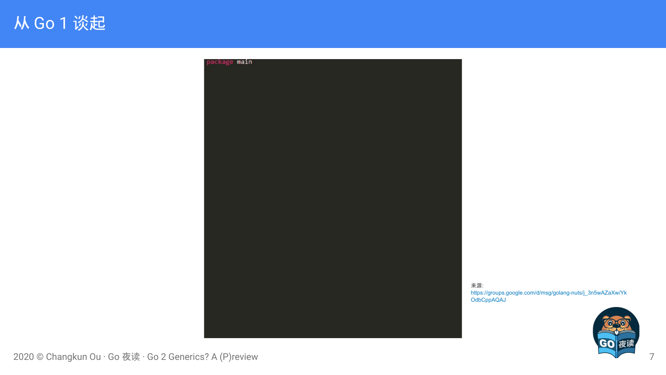

来源: [https://groups.google.com/d/msg/golang-nuts/j\\_3n5wAZaXw/Yk](https://groups.google.com/d/msg/golang-nuts/j_3n5wAZaXw/YkOdbCppAQAJ) [OdbCppAQAJ](https://groups.google.com/d/msg/golang-nuts/j_3n5wAZaXw/YkOdbCppAQAJ)

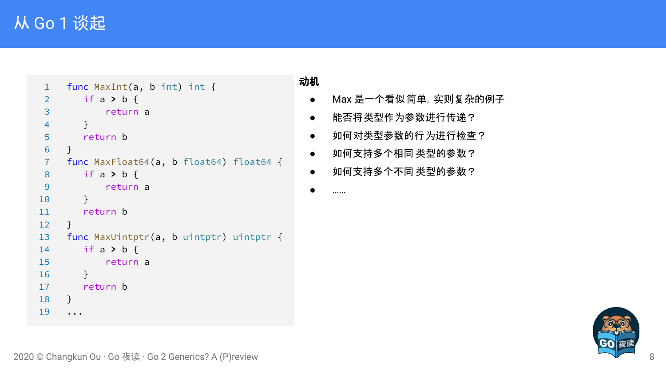## 从 Go 1 谈起

```
1 func MaxInt(a, b int) int {
2 if a > b {
3 return a
4 }
5 return b
6 }
7 func MaxFloat64(a, b float64) float64 {
8 if a > b {
9 return a
10 }
11 return b
12 }
13 func MaxUintptr(a, b uintptr) uintptr {
14 if a > b {
15 return a
16 }
17 return b
18 }
19 ...
```
#### 动机

- Max 是一个看似简单,实则复杂的例子
- 能否将类型作为参数进行传递?
- 如何对类型参数的行为进行检查?
- 如何支持多个相同 类型的参数?
- 如何支持多个不同 类型的参数?
- $......$

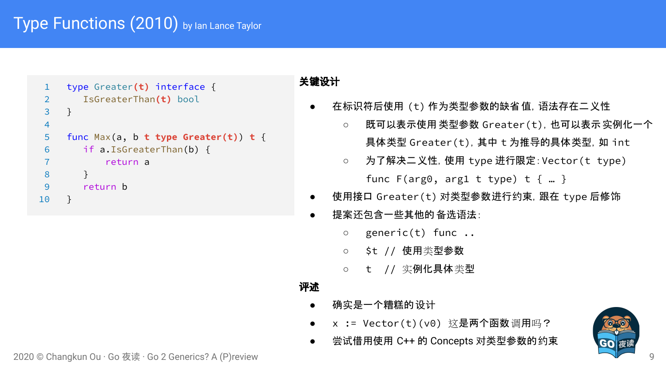## [Type Functions](https://go.googlesource.com/proposal/+/master/design/15292/2010-06-type-functions.md) (2010) by lan Lance Taylor

```
1 type Greater(t) interface {
2 IsGreaterThan(t) bool
 3 }
4
 5 func Max(a, b t type Greater(t)) t {
 6 if a.IsGreaterThan(b) {
7 return a
8 }
9 return b
10 }
```
#### 关键设计

- 在标识符后使用 (t) 作为类型参数的缺省 值, 语法存在二义性
	- 既可以表示使用类型参数 Greater(t),也可以表示实例化一个 具体类型 Greater(t), 其中 t 为推导的具体类型, 如 int
	- 为了解决二义性, 使用 type 进行限定: Vector (t type) func  $F(\text{arg0, arg1 t type}) \text{ t } \{ ... \}$
- 使用接口 Greater(t) 对类型参数进行约束, 跟在 type 后修饰
- 提案还包含一些其他的备选语法:
	- generic(t) func ..
	- \$t // 使用类型参数
	- t // 实例化具体类型

- 确实是一个糟糕的设计
- x := Vector(t)(v0) 这是两个函数调用吗?
- 尝试借用使用 C++ 的 Concepts 对类型参数的约束

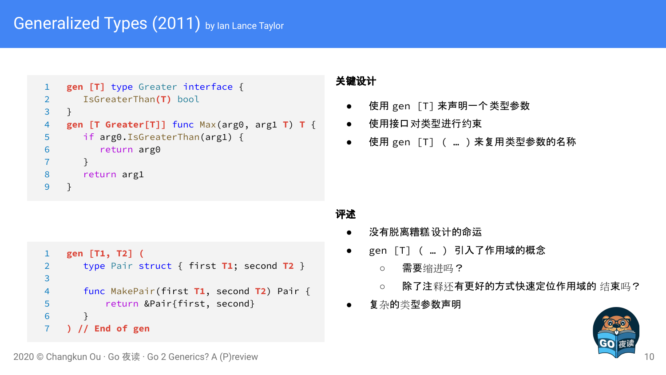## [Generalized Types](https://go.googlesource.com/proposal/+/master/design/15292/2011-03-gen.md) (2011) by lan Lance Taylor

```
1 gen [T] type Greater interface {
2 IsGreaterThan(T) bool
3 }
4 gen [T Greater[T]] func Max(arg0, arg1 T) T {
5 if arg0.IsGreaterThan(arg1) {
6 return arg0
7 }
8 return arg1
9 }
```
#### 关键设计

- 使用 gen [T]来声明一个类型参数
- 使用接口对类型进行约束
- 使用 gen [T] ( … ) 来复用类型参数的名称

```
1 gen [T1, T2] (
2 type Pair struct { first T1; second T2 }
3 
4 func MakePair(first T1, second T2) Pair {
5 return &Pair{first, second}
6 }
7 ) // End of gen
```
- 没有脱离糟糕设计的命运
- gen [T]( ... ) 引入了作用域的概念
	- 需要缩进吗?
	- 除了注释还有更好的方式快速定位作用域的 结束吗?
- 复杂的类型参数声明

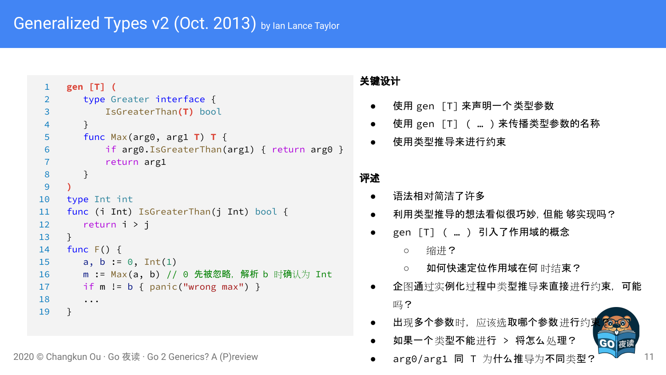```
1 gen [T] (
 2 type Greater interface {
 3 IsGreaterThan(T) bool
 4 }
 5 func Max(arg0, arg1 T) T {
 6 if arg0.IsGreaterThan(arg1) { return arg0 }
 7 return arg1
 8 }
 9 )
10 type Int int
11 func (i Int) IsGreaterThan(j Int) bool {
12 return i > j
13 }
14 func F() {
15 a, b := 0, Int(1)16 m := Max(a, b) // 0 先被忽略, 解析 b 时确认为 Int
17 if m != b { panic("wrong max") }
18 ...
19 }
```
2020 © Changkun Ou · Go 夜读 · Go 2 Generics? A (P)review

#### 关键设计

- 使用 gen [T]来声明一个类型参数
- 使用 gen [T]( ... )来传播类型参数的名称
- 使用类型推导来进行约束

#### 评述

- 语法相对简洁了许多
- 利用类型推导的想法看似很巧妙, 但能 够实现吗?
- gen [T] ( ... ) 引入了作用域的概念
	- 缩进?
	- 如何快速定位作用域在何 时结束?
- 企图通过实例化过程中类型推导来直接进行约束,可能 吗?
- 出现多个参数时,应该选取哪个参数进行约;
- 如果一个类型不能进行 > 将怎么处理?



11

arg0/arg1 同 T 为什么推导为不同类型?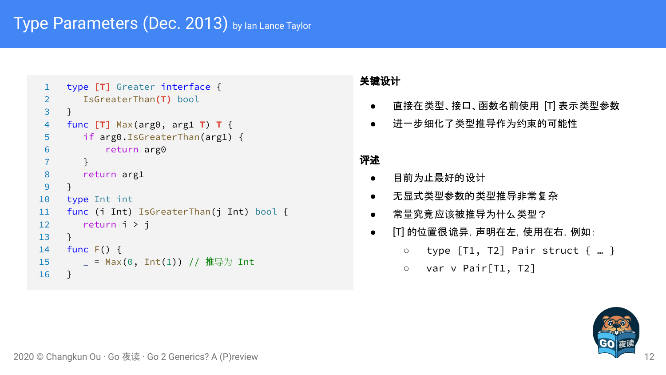```
1 type [T] Greater interface {
 2 IsGreaterThan(T) bool
 3 }
 4 func [T] Max(arg0, arg1 T) T {
 5 if arg0.IsGreaterThan(arg1) {
 6 return arg0
 7 }
 8 return arg1
 9 }
10 type Int int
11 func (i Int) IsGreaterThan(j Int) bool {
12 return i > j
13 }
14 func F() {
15 \Box = Max(0, Int(1)) // 推导为 Int
16 }
```
#### 关键设计

- 直接在类型、接口、函数名前使用 [T] 表示类型参数
- 进一步细化了类型推导作为约束的可能性

- 目前为止最好的设计
- 无显式类型参数的类型推导非常复杂
- 常量究竟应该被推导为什么类型?
- [T] 的位置很诡异,声明在左,使用在右,例如:
	- $\circ$  type [T1, T2] Pair struct  $\{ ... \}$
	- var v Pair[T1, T2]

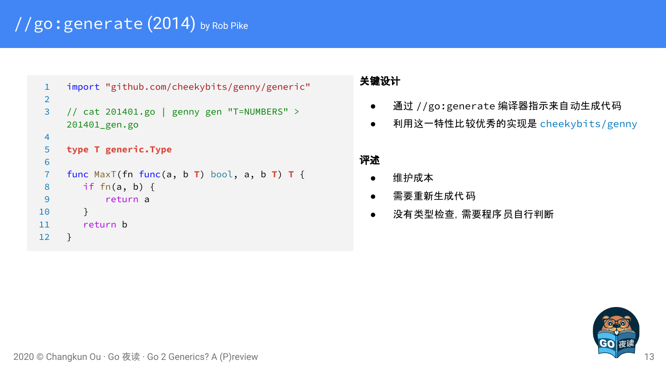## [//go:generate](https://golang.org/s/go1.4-generate) (2014) by Rob Pike

```
1 import "github.com/cheekybits/genny/generic"
 2
 3 // cat 201401.go | genny gen "T=NUMBERS" > 
    201401_gen.go
 4
 5 type T generic.Type
 6
 7 func MaxT(fn func(a, b T) bool, a, b T) T {
 8 if fn(a, b) {
 9 return a
10 }
11 return b
12 }
```
#### 关键设计

- 通过 //go:generate 编译器指示来自动生成代码
- 利用这一特性比较优秀的实现是 [cheekybits/genny](https://github.com/cheekybits/genny)

- 维护成本
- 需要重新生成代码
- 没有类型检查,需要程序员自行判断

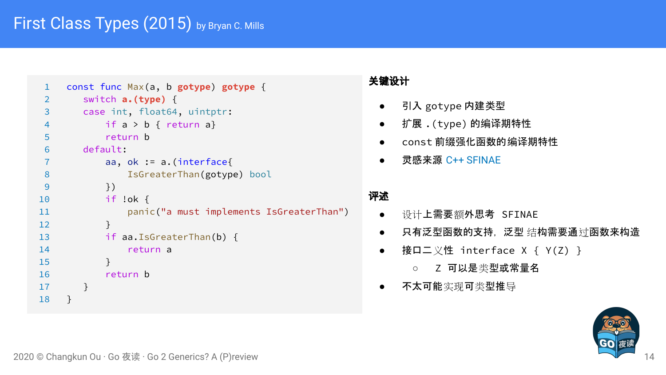```
1 const func Max(a, b gotype) gotype {
2 switch a.(type) {
3 case int, float64, uintptr:
4 if a > b { return a}
5 return b
6 default:
7 aa, ok := a.(interface{
8 IsGreaterThan(gotype) bool
9 })
10 if !ok {
11 panic("a must implements IsGreaterThan")
12 }
13 if aa.IsGreaterThan(b) {
14 return a
15 }
16 return b
17 }
18 }
```
#### 关键设计

- 引入 gotype 内建类型
- 扩展 .(type) 的编译期特性
- const 前缀强化函数的编译期特性
- 灵感来源 [C++ SFINAE](https://en.cppreference.com/w/cpp/language/sfinae)

- 设计上需要额外思考 SFINAE
- 只有泛型函数的支持,泛型 结构需要通过函数来构造
- 接口二义性 interface X { Y(Z) }
	- Z 可以是类型或常量名
- 不太可能实现可类型推导

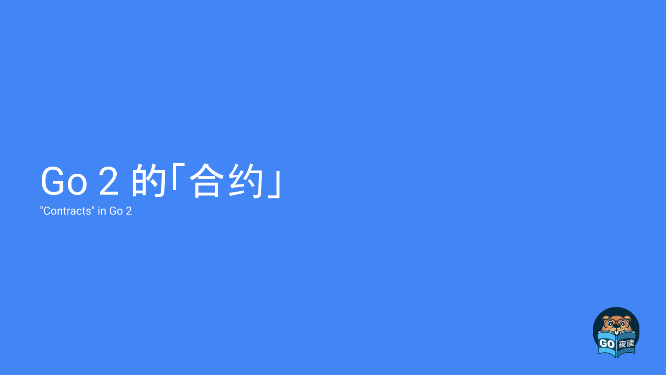## Go 2 的「合约」

"Contracts" in Go 2

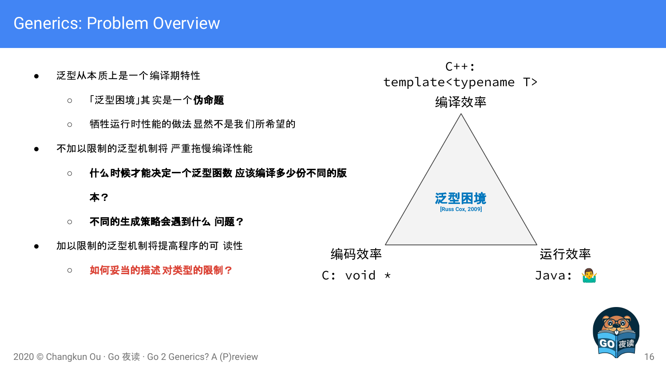## Generics: Problem Overview

- 泛型从本质上是一个编译期特性
	- 「泛型困境」其 实是一个**伪命题**
	- 牺牲运行时性能的做法显然不是我们所希望的
- 不加以限制的泛型机制将 严重拖慢编译性能
	- **○** 什么时候才能决定一个泛型函数 应该编译多少份不同的版

#### 本?

- **○** 不同的生成策略会遇到什么 问题?
- 加以限制的泛型机制将提高程序的可 读性
	- **○** 如何妥当的描述对类型的限制?



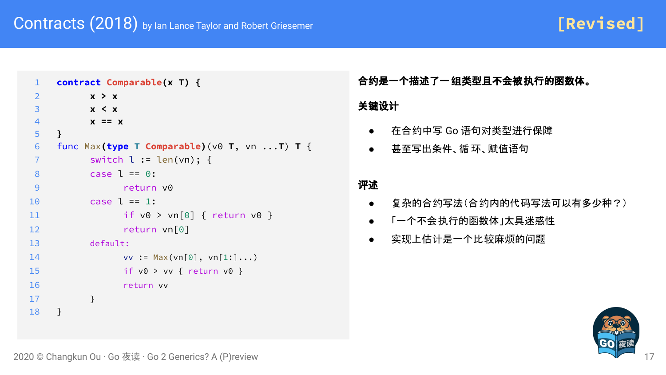**[Revised]**

```
1 contract Comparable(x T) {
2 x > x
3 x < x
4 x == x
5 }
6 func Max(type T Comparable)(v0 T, vn ...T) T {
7 switch l := len(vn); {
8 case l == 0:
9 return v0
10 case l == 1:
11 if v0 > vn[0] { return v0 }
12 return vn[0]
13 default:
14 vv := Max(vn[0], vn[1:]...)15 if v0 > vv { return v0 }
16 return vv
17 }
18 }
```
合约是一个描述了一组类型且不会被执行的函数体。

#### 关键设计

- 在合约中写 Go 语句对类型进行保障
- 甚至写出条件、循 环、赋值语句

- 复杂的合约写法(合约内的代码写法可以有多少种?)
- 「一个不会执行的函数体」太具迷惑性
- 实现上估计是一个比较麻烦的问题

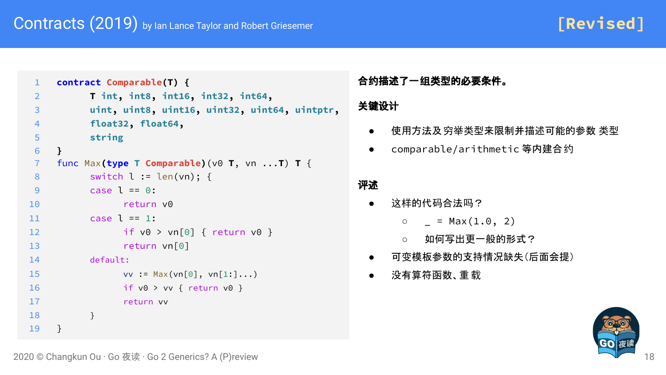**[Revised]**

```
1 contract Comparable(T) {
 2 T int, int8, int16, int32, int64,
 3 uint, uint8, uint16, uint32, uint64, uintptr,
 4 float32, float64,
 5 string
 6 }
 7 func Max(type T Comparable)(v0 T, vn ...T) T {
8 switch l := len(vn); {
 9 case l = 0:
10 return v0
11 case l == 1:
12 if v0 > vn[0] { return v0 }
13 return vn[0]
14 default:
15 VV := Max(vn[0], vn[1:]...)16 if v0 > vv { return v0 }
17 return vv
18 }
19 }
```
合约描述了一组类型的必要条件。

#### 关键设计

- 使用方法及 穷举类型来限制并描述可能的参数 类型
- comparable/arithmetic 等内建合约

- 这样的代码合法吗?
	- $\circ$  = Max(1.0, 2)
	- 如何写出更一般的形式?
- 可变模板参数的支持情况缺失(后面会提)
- 没有算符函数、重 载

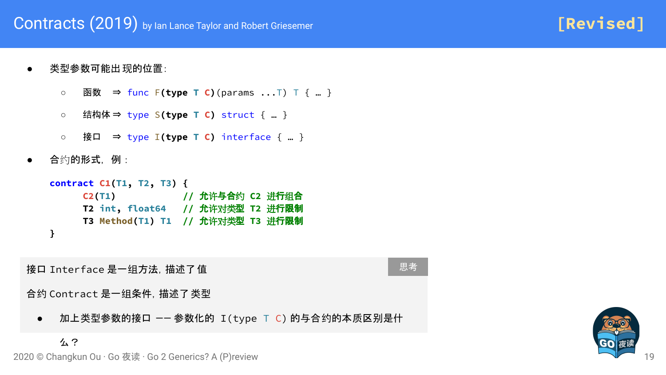- 类型参数可能出 现的位置:
	- 函数 ⇒ func F**(type T C)**(params ...T) T { … }
	- 结构体 ⇒ type S**(type T C)** struct { … }
	- 接口 ⇒ type I**(type T C)** interface { … }
- 合约的形式,例:



接口 Interface 是一组方法,描述了值

思考

合约 Contract 是一组条件,描述了类型

● 加上类型参数的接口 -- 参数化的 I(type T C) 的与合约的本质区别是什



**[Revised]**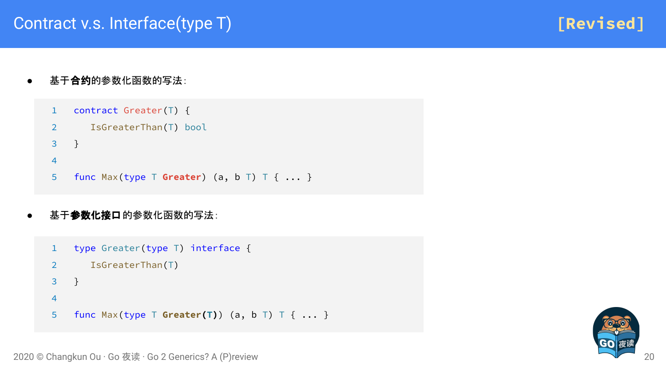**[Revised]**

基于合约的参数化函数的写法:

```
1 contract Greater(T) {
```

```
2 IsGreaterThan(T) bool
```
3 }

4

```
5 func Max(type T Greater) (a, b T) T { ... }
```
#### 基于参数化接口的参数化函数的写法:

```
1 type Greater(type T) interface {
2 IsGreaterThan(T)
3 }
4
5 func Max(type T Greater(T)) (a, b T) T { ... }
```
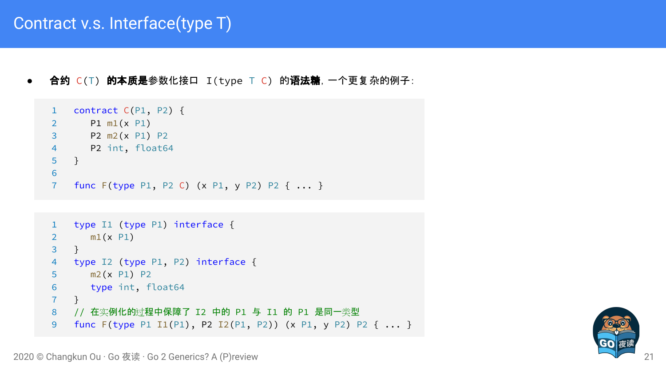## Contract v.s. Interface(type T)

合约 C(T) 的本质是参数化接口 I(type T C) 的语法糖, 一个更复杂的例子:

```
1 contract C(P1, P2) {
2 P1 m1(x P1)
3 P2 m2(x P1) P2
4 P2 int, float64
5 }
6
7 func F(type P1, P2 C) (x P1, y P2) P2 { ... }
```

```
1 type I1 (type P1) interface {
2 m1(x P1)
3 }
4 type I2 (type P1, P2) interface {
5 m2(x P1) P2
6 type int, float64
7 }
8 // 在实例化的过程中保障了 I2 中的 P1 与 I1 的 P1 是同一类型
9 func F(type P1 I1(P1), P2 I2(P1, P2)) (x P1, y P2) P2 { ... }
```
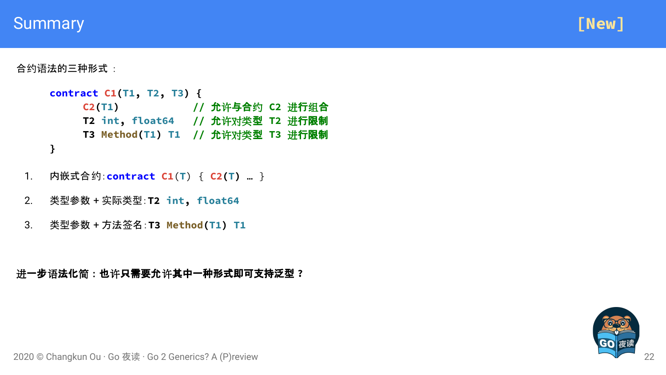### **Summary**



合约语法的三种形式:

```
contract C1(T1, T2, T3) {
    C2(T1) // 允许与合约 C2 进行组合
    T2 int, float64 // 允许对类型 T2 进行限制
    T3 Method(T1) T1 // 允许对类型 T3 进行限制
}
```
- 1. 内嵌式合约:**contract C1**(**T**) { **C2(T)** … }
- 2. 类型参数 + 实际类型:**T2 int, float64**
- 3. 类型参数 + 方法签名:**T3 Method(T1) T1**

进一步语法化简:也许只需要允许其中一种形式即可支持泛型 **?**

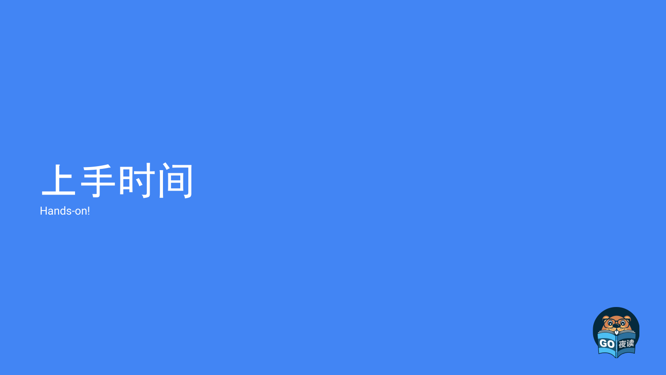

Hands-on!

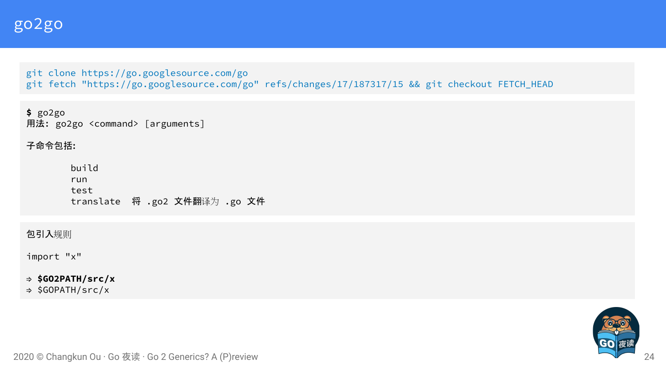git clone https://go.googlesource.com/go [git fetch "https://go.googlesource.com/go" refs/changes/17/187317/15 && git checkout FETCH\\_HEAD](https://go-review.googlesource.com/c/go/+/187317)

**\$** go2go 用法: go2go <command> [arguments]

子命令包括:

 build run test translate 将 .go2 文件翻译为 .go 文件

包引入规则

import "x"

⇒ **\$GO2PATH/src/x**

⇒ \$GOPATH/src/x

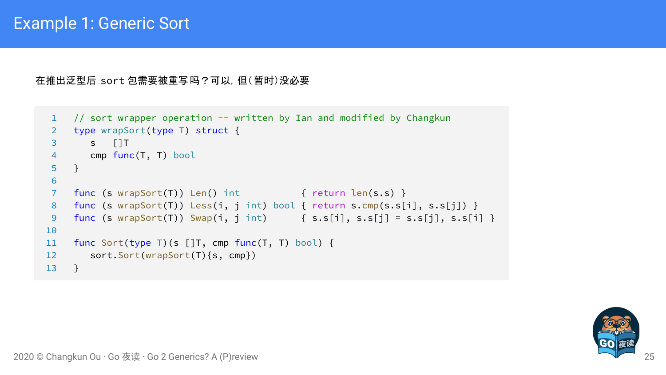在推出泛型后 sort 包需要被重写吗?可以,但(暂时)没必要

```
1 // sort wrapper operation -- written by Ian and modified by Changkun
 2 type wrapSort(type T) struct {
 3 s []T
 4 cmp func(T, T) bool
 5 }
 6
 7 func (s wrapSort(T)) Len() int { return len(s.s) }
 8 func (s wrapSort(T)) Less(i, j int) bool { return s.cmp(s.s[i], s.s[j]) }
 9 func (s wrapSort(T)) Swap(i, j int) \{ s.s[i], s.s[j] = s.s[j], s.s[i] \}10
11 func Sort(type T)(s []T, cmp func(T, T) bool) {
12 sort.Sort(wrapSort(T){s, cmp})
13 }
```
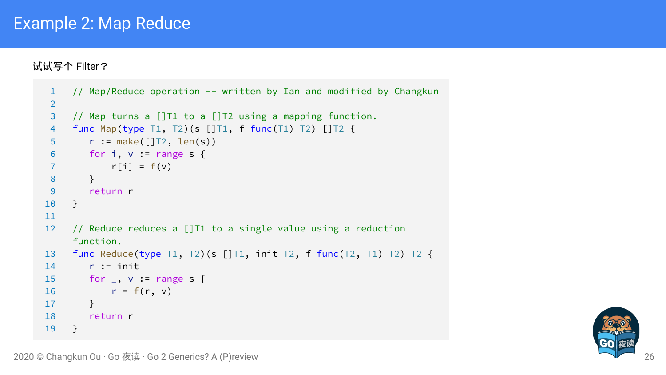## Example 2: Map Reduce

试试写个 Filter?

```
1 // Map/Reduce operation -- written by Ian and modified by Changkun
2
3 // Map turns a []T1 to a []T2 using a mapping function.
4 func Map(type T1, T2)(s []T1, f func(T1) T2) []T2 {
5 r := make([]T2, len(s))
6 for i, v := range s {
7 r[i] = f(v)8 }
9 return r
10 }
11
12 // Reduce reduces a []T1 to a single value using a reduction 
    function.
13 func Reduce(type T1, T2)(s []T1, init T2, f func(T2, T1) T2) T2 {
14 r := init
15 for _, v := range s {
16 r = f(r, v)17 }
18 return r
19 }
```
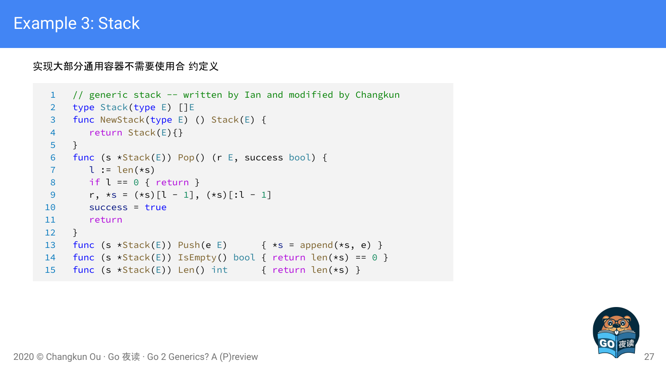## Example 3: Stack

#### 实现大部分通用容器不需要使用合 约定义

```
1 // generic stack -- written by Ian and modified by Changkun
2 type Stack(type E) []E
3 func NewStack(type E) () Stack(E) {
4 return Stack(E){}
5 }
 6 func (s *Stack(E)) Pop() (r E, success bool) {
7 l := len(\star s)8 if l == 0 { return }
9 r, \star s = (\star s)[l - 1], (\star s)[:l - 1]10 success = true
11 return
12 }
13 func (s *Stack(E)) Push(e E) { *s = append(*s, e) }
14 func (s \starStack(E)) IsEmpty() bool { return len(\stars) == 0 }
15 func (s *Stack(E)) Len() int { return len(*s) }
```
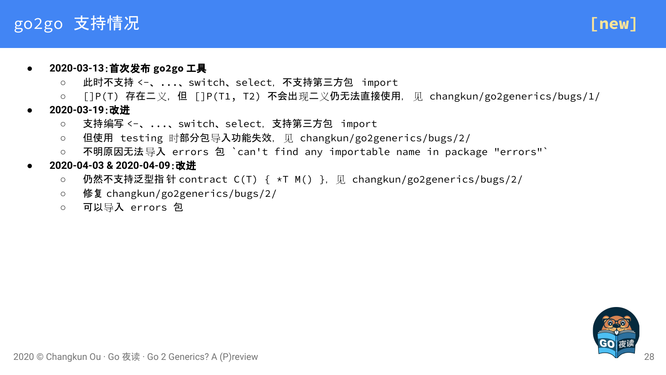## go2go 支持情况



#### ● **2020-03-13**:首次发布 **go2go** 工具

- 此时不支持 <-、...、switch、select,不支持第三方包 import
- []P(T) 存在二义,但 []P(T1,T2) 不会出现二义仍无法直接使用, 见 changkun/go2generics/bugs/1/
- **● 2020-03-19**:改进
	- 支持编写 <-、...、switch、select,支持第三方包 import
	- 但使用 testing 时部分包导入功能失效,见 changkun/go2generics/bugs/2/
	- 不明原因无法导入 errors 包 `can't find any importable name in package "errors"`
- **2020-04-03 & 2020-04-09**:改进
	- 仍然不支持泛型指 针 contract C(T) { \*T M() }, 见 changkun/go2generics/bugs/2/
	- **○** 修复 changkun/go2generics/bugs/2/
	- 可以导入 errors 包

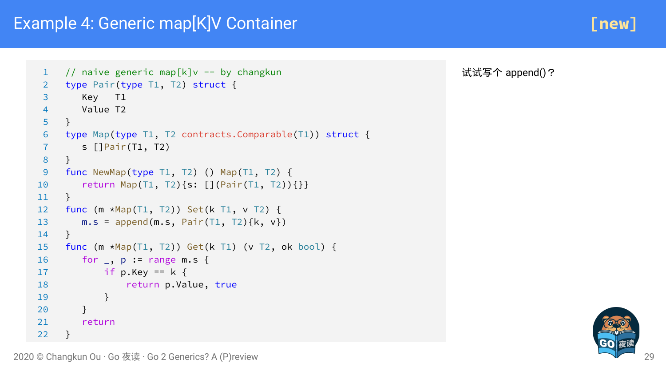## Example 4: Generic map[K]V Container

```
1 // naive generic map[k]v -- by changkun
2 type Pair(type T1, T2) struct {
 3 Key T1
 4 Value T2
 5 }
 6 type Map(type T1, T2 contracts.Comparable(T1)) struct {
7 s []Pair(T1, T2)
 8 }
9 func NewMap(type T1, T2) () Map(T1, T2) {
10 return Map(T1, T2){s: [](Pair(T1, T2)){}}
11 }
12 func (m *Map(T1, T2)) Set(k T1, v T2) {
13 m.s = append(m.s, Pair(T1, T2)\{k, v\})
14 }
15 func (m *Map(T1, T2)) Get(k T1) (v T2, ok bool) {
16 for , p := range m.s {
17 if p.Key == k \{18 return p.Value, true
19 }
20 }
21 return
22 }
```
试试写个 append()?

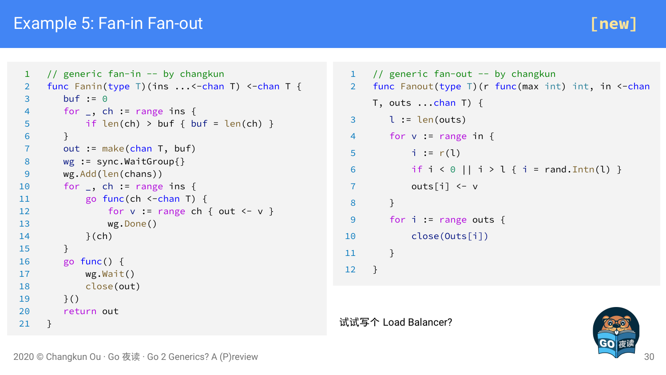## Example 5: Fan-in Fan-out



```
1 // generic fan-in -- by changkun
 2 func Fanin(type T)(ins \ldots <-chan T) <-chan T {
 3 buf := 0
 4 for _, ch := range ins {
 5 if len(ch) > buf { buf = len(ch) }
67 out := make(chan T, buf)
8 wg := sync.WaitGroup{}
9 wg.Add(len(chans))
10 for _, ch := range ins {
11 go func(ch <-chan T) {
12 for v := range ch { out \left\{ -v \right\}13 wg.Done()
14 }(ch)
15 }
16 go func() {
17 wg.Wait()
18 close(out)
19 \t} }()
20 return out
21 }
```

```
1 // generic fan-out -- by changkun
2 func Fanout(type T)(r func(max int) int, in <-chan
    T, outs \ldotschan T) {
 3 \qquad l := len(out)4 for v := range in {
 5 i := r(1)6 if i < 0 || i > 1 { i = rand.Intn(1) }
7 outs[i] <- v
8 }
9 for i := range outs {
10 close(Outs[i])
11 }
12 }
```
试试写个 Load Balancer?

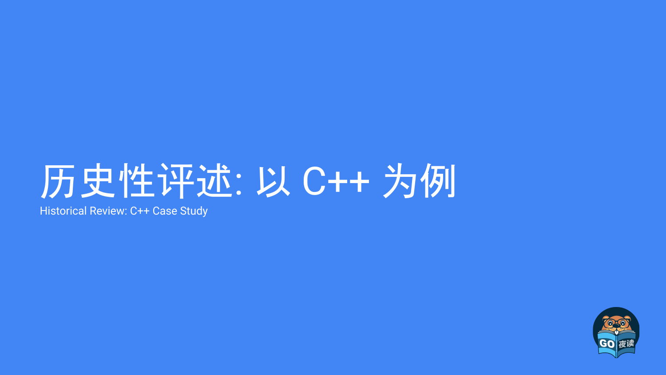## 历史性评述: 以 C++ 为例

Historical Review: C++ Case Study

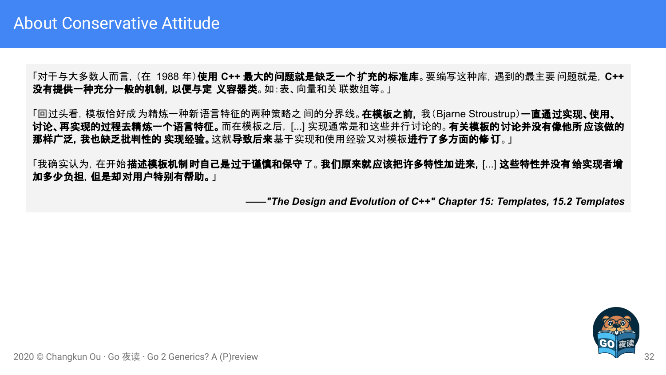「对于与大多数人而言,(在 1988 年)使用 **C++** 最大的问题就是缺乏一个扩充的标准库。要编写这种库,遇到的最主要问题就是,**C++**  没有提供一种充分一般的机制,以便与定 义容器类。如:表、向量和关 联数组等。」

「回过头看, 模板恰好成 为精炼一种新语言特征的两种策略之 间的分界线。 **在模板之前,** 我(Bjarne Stroustrup) 一**直通过实现、使用、** 讨论、再实现的过程去精炼一个语言特征。而在模板之后,[...] 实现通常是和这些并行讨论的。有关模板的讨论并没有像他所应该做的 那样广泛, 我也缺乏批判性的 实现经验。这就导致后来基于实现和使用经验又对模板进行了多方面的修订。」

「我确实认为, 在开始**描述模板机制时自己是过于谨慎和保守了。我们原来就应该把许多特性加进来,** [...] **这些特性并没有 给实现者增** 加多少负担,但是却对用户特别有帮助。」

*——"The Design and Evolution of C++" Chapter 15: Templates, 15.2 Templates*

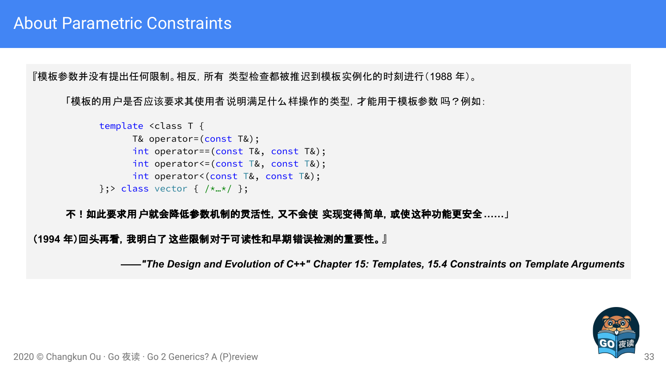『模板参数并没有提出任何限制。相反,所有 类型检查都被推迟到模板实例化的时刻进行(1988 年)。

「模板的用户是否应该要求其使用者说明满足什么样操作的类型,才能用于模板参数 吗?例如:

```
template <class T {
      T& operator=(const T&);
      int operator==(const T&, const T&);
      int operator<=(const T&, const T&);
      int operator<(const T&, const T&);
\};> class vector { /\star...\star / };
```
#### 不!如此要求用户就会降低参数机制的灵活性,又不会使 实现变得简单,或使这种功能更安全**……**」

#### (**1994** 年)回头再看,我明白了这些限制对于可读性和早期错误检测的重要性。』

*——"The Design and Evolution of C++" Chapter 15: Templates, 15.4 Constraints on Template Arguments*

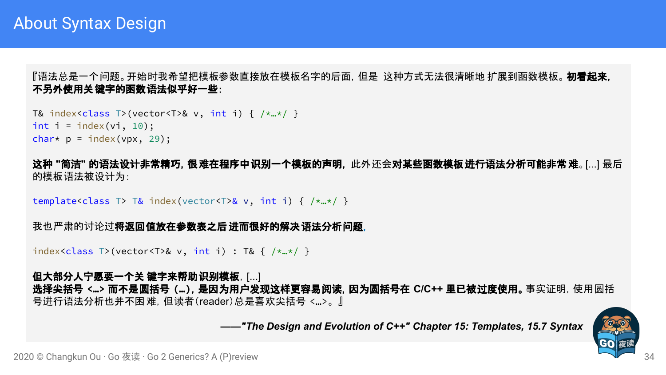『语法总是一个问题。开始时我希望把模板参数直接放在模板名字的后面, 但是 这种方式无法很清晰地 扩展到函数模板。 **初看起来,** 不另外使用关键字的函数语法似乎好一些:

T& index<class T>(vector<T>& v, int i) {  $/*...*/$  } int  $i = index(vi, 10)$ ; char\*  $p = index(vpx, 29)$ ;

这种 **"**简洁**"** 的语法设计非常精巧,很难在程序中识别一个模板的声明, 此外还会对某些函数模板进行语法分析可能非常难。[...] 最后 的模板语法被设计为:

template<class T> T& index(vector<T>& v, int i) {  $/\star$ <sub>…</sub> $\star$ / }

我也严肃的讨论过将返回值放在参数表之后进而很好的解决语法分析问题。

index<class T>(vector<T>& v, int i) : T& {  $/*...*/$  }

#### 但大部分人宁愿要一个关 键字来帮助识别模板,[...]

选择尖括号 **<…>** 而不是圆括号 **(…)**,是因为用户发现这样更容易阅读,因为圆括号在 **C/C++** 里已被过度使用。事实证明,使用圆括 号进行语法分析也并不困难,但读者(reader)总是喜欢尖括号 <…>。』

 *——"The Design and Evolution of C++" Chapter 15: Templates, 15.7 Syntax*

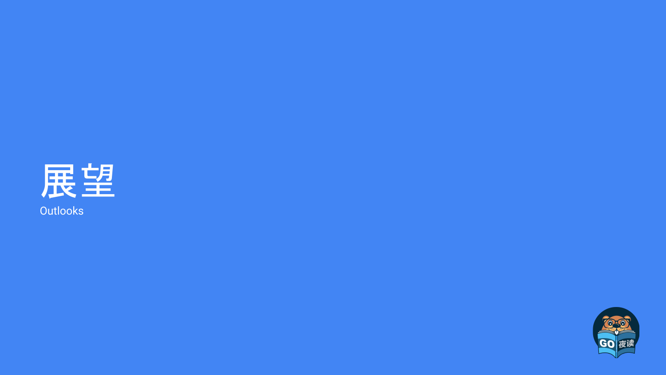

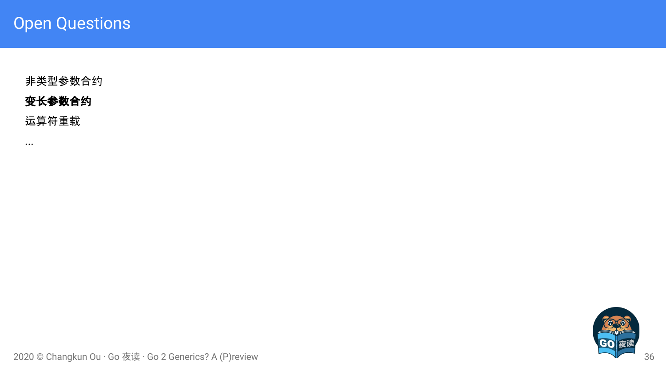非类型参数合约

#### 变长参数合约

运算符重载

...

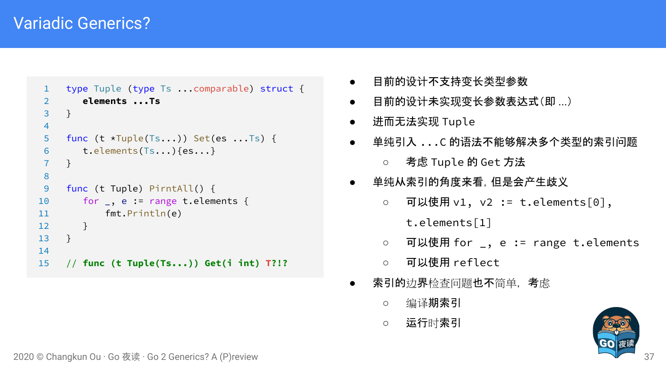## Variadic Generics?

```
1 type Tuple (type Ts ...comparable) struct {
2 elements ...Ts
 3 }
4
 5 func (t *Tuple(Ts...)) Set(es ...Ts) {
6 t.elements(Ts...){es...}
 7 }
8
9 func (t Tuple) PirntAll() {
10 for _, e := range t.elements {
11 fmt.Println(e)
12 }
13 }
14
15 // func (t Tuple(Ts...)) Get(i int) T?!?
```
- 目前的设计不支持变长类型参数
- 目前的设计未实现变长参数表达式(即 ...)
- 进而无法实现 Tuple
- 单纯引入 ...C 的语法不能够解决多个类型的索引问题 ○ 考虑 Tuple 的 Get 方法
- 单纯从索引的角度来看,但是会产生歧义
	- 可以使用 v1, v2 := t.elements[0],
		- t.elements[1]
	- 可以使用 for \_, e := range t.elements
	- 可以使用 reflect
- **索引的**边界检查问题**也不**简单,考虑
	- 编译期索引
	- 运行时索引

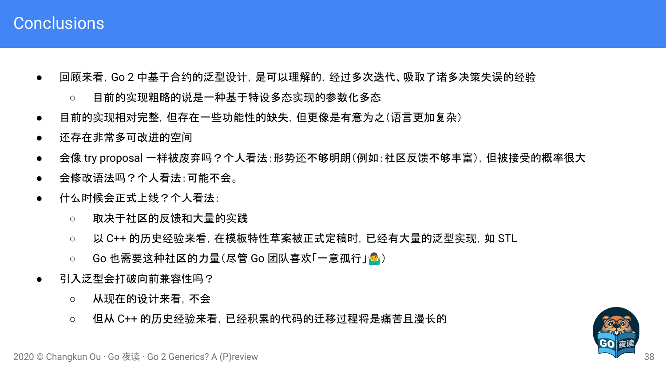### **Conclusions**

- 回顾来看, Go 2 中基于合约的泛型设计, 是可以理解的, 经过多次迭代、吸取了诸多决策失误的经验
	- 目前的实现粗略的说是一种基于特设多态实现的参数化多态
- 目前的实现相对完整,但存在一些功能性的缺失,但更像是有意为之(语言更加复杂)
- 还存在非常多可改进的空间
- 会像 try proposal 一样被废弃吗?个人看法:形势还不够明朗(例如:社区反馈不够丰富), 但被接受的概率很大
- 会修改语法吗?个人看法:可能不会。
- 什么时候会正式上线?个人看法:
	- 取决于社区的反馈和大量的实践
	- 以 C++ 的历史经验来看, 在模板特性草案被正式定稿时, 已经有大量的泛型实现, 如 STL
	- Go 也需要这种社区的力量(尽管 Go 团队喜欢「一意孤行」<mark>。</mark>)
- 引入泛型会打破向前兼容性吗?
	- 从现在的设计来看,不会
	- 但从 C++ 的历史经验来看, 已经积累的代码的迁移过程将是痛苦且漫长的

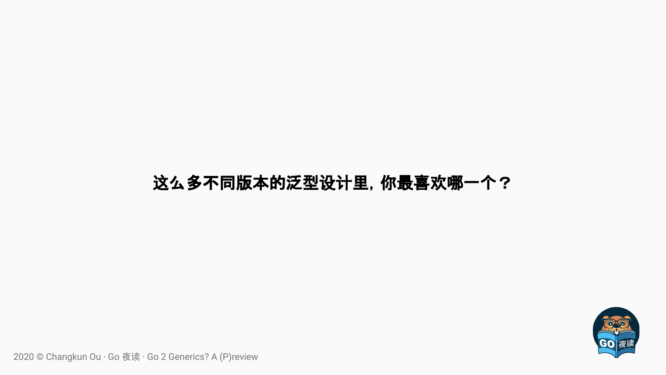## 这么多不同版本的泛型设计里,你最喜欢哪一个?

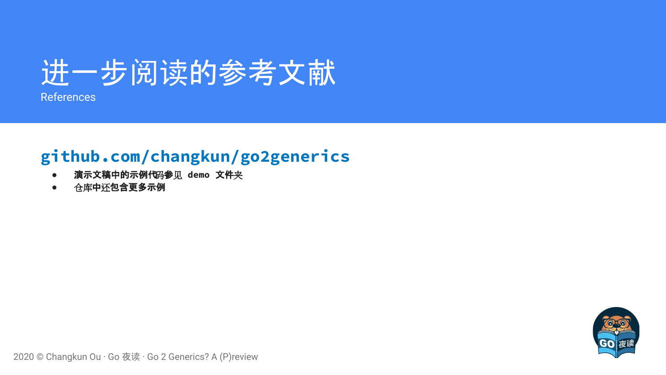

References

## **[github.com/changkun/go2generics](https://github.com/changkun/go2generics)**

- **●** 演示文稿中的示例代码参见 **demo** 文件夹
- **●** 仓库中还包含更多示例